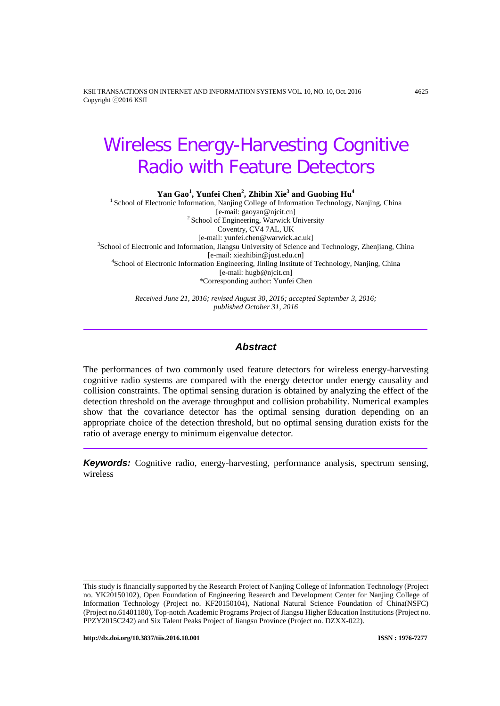KSII TRANSACTIONS ON INTERNET AND INFORMATION SYSTEMS VOL. 10, NO. 10, Oct. 2016 4625 Copyright ⓒ2016 KSII

# Wireless Energy-Harvesting Cognitive Radio with Feature Detectors

**Yan Gao<sup>1</sup> , Yunfei Chen<sup>2</sup> , Zhibin Xie<sup>3</sup> and Guobing Hu4**

<sup>1</sup> School of Electronic Information, Nanjing College of Information Technology, Nanjing, China [e-mail: gaoyan@njcit.cn]  $2$  School of Engineering, Warwick University Coventry, CV4 7AL, UK<br>[e-mail: yunfei.chen@warwick.ac.uk] [e-mail: yunfei.chen@warwick.ac.uk] <sup>3</sup> School of Electronic and Information, Jiangsu University of Science and Technology, Zhenjiang, China [e-mail: xiezhibin@just.edu.cn] <sup>4</sup> School of Electronic Information Engineering, Jinling Institute of Technology, Nanjing, China [e-mail: hugb@njcit.cn] \*Corresponding author: Yunfei Chen

> *Received June 21, 2016; revised August 30, 2016; accepted September 3, 2016; published October 31, 2016*

# *Abstract*

The performances of two commonly used feature detectors for wireless energy-harvesting cognitive radio systems are compared with the energy detector under energy causality and collision constraints. The optimal sensing duration is obtained by analyzing the effect of the detection threshold on the average throughput and collision probability. Numerical examples show that the covariance detector has the optimal sensing duration depending on an appropriate choice of the detection threshold, but no optimal sensing duration exists for the ratio of average energy to minimum eigenvalue detector.

*Keywords:* Cognitive radio, energy-harvesting, performance analysis, spectrum sensing, wireless

This study is financially supported by the Research Project of Nanjing College of Information Technology (Project no. YK20150102), Open Foundation of Engineering Research and Development Center for Nanjing College of Information Technology (Project no. KF20150104), National Natural Science Foundation of China(NSFC) (Project no.61401180), Top-notch Academic Programs Project of Jiangsu Higher Education Institutions (Project no. PPZY2015C242) and Six Talent Peaks Project of Jiangsu Province (Project no. DZXX-022).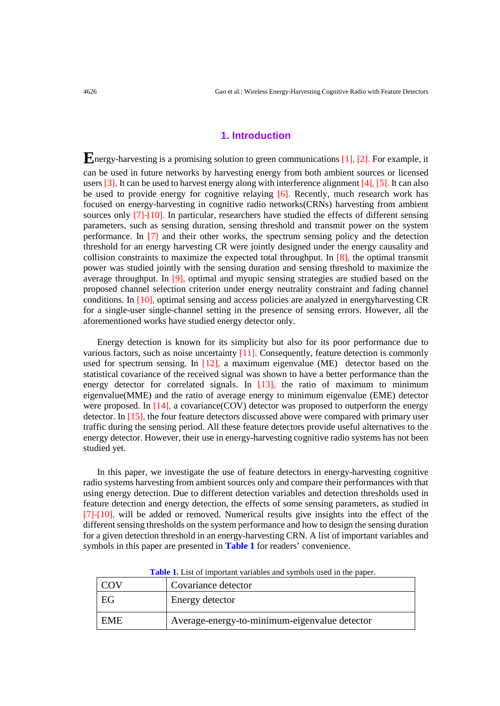## **1. Introduction**

**E**nergy-harvesting is a promising solution to green communications [1], [2]. For example, it can be used in future networks by harvesting energy from both ambient sources or licensed users [3]. It can be used to harvest energy along with interference alignment [4], [5]. It can also be used to provide energy for cognitive relaying [6]. Recently, much research work has focused on energy-harvesting in cognitive radio networks(CRNs) harvesting from ambient sources only [7]-[10]. In particular, researchers have studied the effects of different sensing parameters, such as sensing duration, sensing threshold and transmit power on the system performance. In [7] and their other works, the spectrum sensing policy and the detection threshold for an energy harvesting CR were jointly designed under the energy causality and collision constraints to maximize the expected total throughput. In [8], the optimal transmit power was studied jointly with the sensing duration and sensing threshold to maximize the average throughput. In [9], optimal and myopic sensing strategies are studied based on the proposed channel selection criterion under energy neutrality constraint and fading channel conditions. In [10], optimal sensing and access policies are analyzed in energyharvesting CR for a single-user single-channel setting in the presence of sensing errors. However, all the aforementioned works have studied energy detector only.

Energy detection is known for its simplicity but also for its poor performance due to various factors, such as noise uncertainty [11]. Consequently, feature detection is commonly used for spectrum sensing. In [12], a maximum eigenvalue (ME) detector based on the statistical covariance of the received signal was shown to have a better performance than the energy detector for correlated signals. In [13], the ratio of maximum to minimum eigenvalue(MME) and the ratio of average energy to minimum eigenvalue (EME) detector were proposed. In [14], a covariance(COV) detector was proposed to outperform the energy detector. In [15], the four feature detectors discussed above were compared with primary user traffic during the sensing period. All these feature detectors provide useful alternatives to the energy detector. However, their use in energy-harvesting cognitive radio systems has not been studied yet.

In this paper, we investigate the use of feature detectors in energy-harvesting cognitive radio systems harvesting from ambient sources only and compare their performances with that using energy detection. Due to different detection variables and detection thresholds used in feature detection and energy detection, the effects of some sensing parameters, as studied in [7]-[10], will be added or removed. Numerical results give insights into the effect of the different sensing thresholds on the system performance and how to design the sensing duration for a given detection threshold in an energy-harvesting CRN. A list of important variables and symbols in this paper are presented in **Table 1** for readers' convenience.

| COV | Covariance detector                           |
|-----|-----------------------------------------------|
| EG  | Energy detector                               |
| EME | Average-energy-to-minimum-eigenvalue detector |

**Table 1.** List of important variables and symbols used in the paper.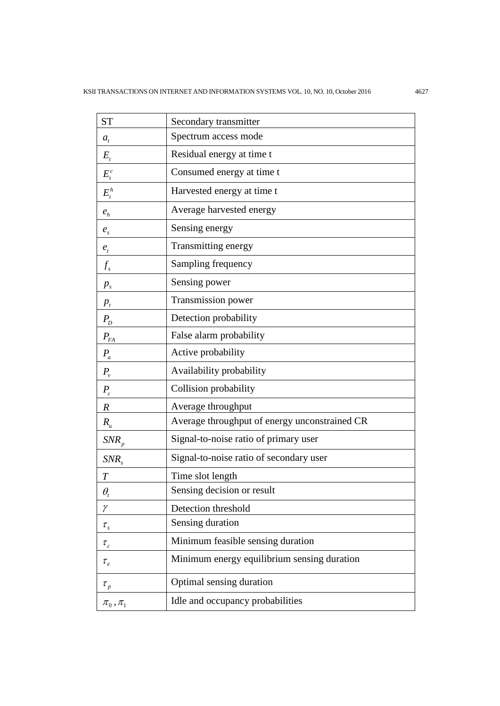| <b>ST</b>                                                   | Secondary transmitter                         |  |
|-------------------------------------------------------------|-----------------------------------------------|--|
| $a_t$                                                       | Spectrum access mode                          |  |
| $E_{t}$                                                     | Residual energy at time t                     |  |
| $E_t^c$                                                     | Consumed energy at time t                     |  |
| $E_t^h$                                                     | Harvested energy at time t                    |  |
| $e_h$                                                       | Average harvested energy                      |  |
| $e_{s}$                                                     | Sensing energy                                |  |
| $e_{t}$                                                     | Transmitting energy                           |  |
| $f_{s}$                                                     | Sampling frequency                            |  |
| $p_{s}$                                                     | Sensing power                                 |  |
| $p_{t}$                                                     | Transmission power                            |  |
| $P_{D}$                                                     | Detection probability                         |  |
| $P_{FA}$                                                    | False alarm probability                       |  |
| $P_a$                                                       | Active probability                            |  |
| $P_{\nu}$                                                   | Availability probability                      |  |
| $P_c$                                                       | Collision probability                         |  |
| $\boldsymbol{R}$                                            | Average throughput                            |  |
| $R_{u}$                                                     | Average throughput of energy unconstrained CR |  |
| $SNR_p$                                                     | Signal-to-noise ratio of primary user         |  |
| $SNR_{s}$                                                   | Signal-to-noise ratio of secondary user       |  |
| T                                                           | Time slot length                              |  |
| $\theta_{\!\scriptscriptstyle t}$                           | Sensing decision or result                    |  |
| γ                                                           | Detection threshold                           |  |
| $\tau_{_s}$                                                 | Sensing duration                              |  |
| $\tau_{c}$                                                  | Minimum feasible sensing duration             |  |
| $\tau_e$                                                    | Minimum energy equilibrium sensing duration   |  |
| $\tau_{_p}$                                                 | Optimal sensing duration                      |  |
| $\pi_{\scriptscriptstyle 0}$ , $\pi_{\scriptscriptstyle 1}$ | Idle and occupancy probabilities              |  |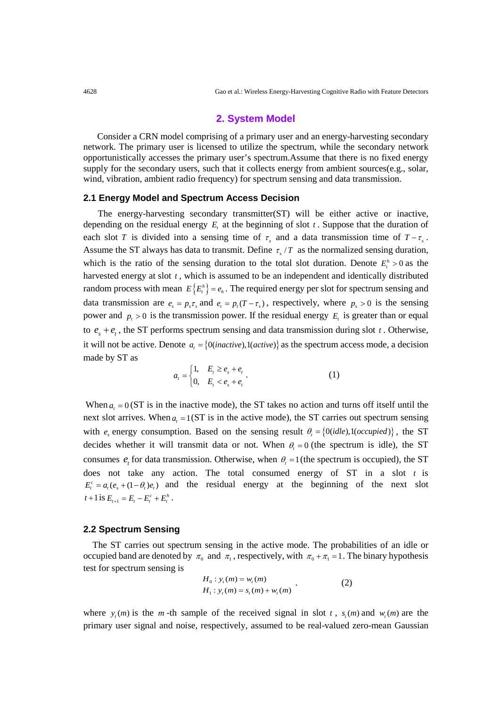#### **2. System Model**

Consider a CRN model comprising of a primary user and an energy-harvesting secondary network. The primary user is licensed to utilize the spectrum, while the secondary network opportunistically accesses the primary user's spectrum.Assume that there is no fixed energy supply for the secondary users, such that it collects energy from ambient sources(e.g., solar, wind, vibration, ambient radio frequency) for spectrum sensing and data transmission.

#### **2.1 Energy Model and Spectrum Access Decision**

 The energy-harvesting secondary transmitter(ST) will be either active or inactive, depending on the residual energy  $E_t$ , at the beginning of slot  $t$ . Suppose that the duration of each slot *T* is divided into a sensing time of  $\tau_s$  and a data transmission time of  $T - \tau_s$ . Assume the ST always has data to transmit. Define  $\tau_s/T$  as the normalized sensing duration, which is the ratio of the sensing duration to the total slot duration. Denote  $E_t^h > 0$  as the harvested energy at slot *t* , which is assumed to be an independent and identically distributed random process with mean  $E\{E_{t}^{h}\}=e_{h}$ . The required energy per slot for spectrum sensing and data transmission are  $e_s = p_s \tau_s$  and  $e_t = p_t (T - \tau_s)$ , respectively, where  $p_s > 0$  is the sensing power and  $p_t > 0$  is the transmission power. If the residual energy  $E_t$  is greater than or equal to  $e_s + e_t$ , the ST performs spectrum sensing and data transmission during slot *t*. Otherwise, it will not be active. Denote  $a_i = \{0(inactive)\}\$ as the spectrum access mode, a decision made by ST as

$$
a_{t} = \begin{cases} 1, & E_{t} \ge e_{s} + e_{t} \\ 0, & E_{t} < e_{s} + e_{t} \end{cases} .
$$
 (1)

When  $a_t = 0$  (ST is in the inactive mode), the ST takes no action and turns off itself until the next slot arrives. When  $a_{\text{r}} = 1$  (ST is in the active mode), the ST carries out spectrum sensing with  $e_s$  energy consumption. Based on the sensing result  $\theta_t = \{0(idle), 1(occupied)\}\$ , the ST decides whether it will transmit data or not. When  $\theta_t = 0$  (the spectrum is idle), the ST consumes  $e_t$ , for data transmission. Otherwise, when  $\theta_t = 1$  (the spectrum is occupied), the ST does not take any action. The total consumed energy of ST in a slot *t* is  $E_t^c = a_t (e_s + (1 - \theta_t) e_t)$  and the residual energy at the beginning of the next slot  $t + 1$  **is**  $E_{t+1} = E_t - E_t^c + E_t^h$ .

#### **2.2 Spectrum Sensing**

The ST carries out spectrum sensing in the active mode. The probabilities of an idle or occupied band are denoted by  $\pi_0$  and  $\pi_1$ , respectively, with  $\pi_0 + \pi_1 = 1$ . The binary hypothesis test for spectrum sensing is

$$
H_0: y_t(m) = w_t(m)
$$
  
\n
$$
H_1: y_t(m) = s_t(m) + w_t(m)
$$
 (2)

where  $y_i(m)$  is the *m* -th sample of the received signal in slot *t*,  $s_i(m)$  and  $w_i(m)$  are the primary user signal and noise, respectively, assumed to be real-valued zero-mean Gaussian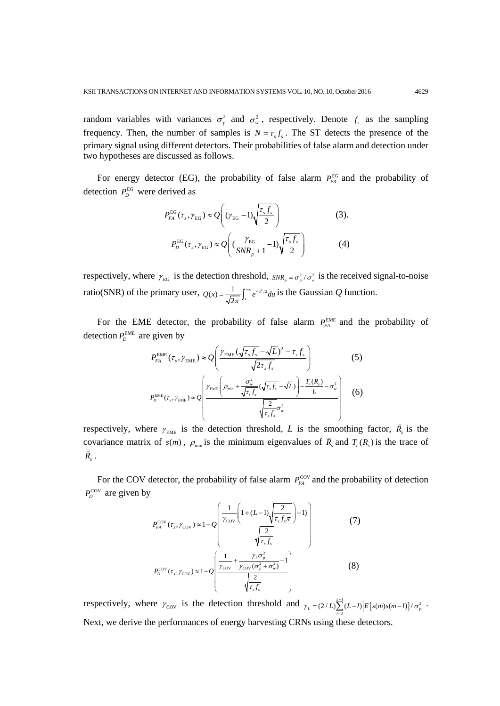random variables with variances  $\sigma_p^2$  and  $\sigma_w^2$ , respectively. Denote  $f_s$  as the sampling frequency. Then, the number of samples is  $N = \tau_{s} f_{s}$ . The ST detects the presence of the primary signal using different detectors. Their probabilities of false alarm and detection under two hypotheses are discussed as follows.

For energy detector (EG), the probability of false alarm  $P_{FA}^{EG}$  and the probability of detection  $P<sub>p</sub><sup>EG</sup>$  were derived as

$$
P_{FA}^{EG}(\tau_s, \gamma_{EG}) \approx Q \left( (\gamma_{EG} - 1) \sqrt{\frac{\tau_s f_s}{2}} \right)
$$
(3).  

$$
P_D^{EG}(\tau_s, \gamma_{EG}) \approx Q \left( \frac{\gamma_{EG}}{SNR_p + 1} - 1 \right) \sqrt{\frac{\tau_s f_s}{2}}
$$
(4)

respectively, where  $\gamma_{EG}$  is the detection threshold,  $SNR_p = \sigma_p^2 / \sigma_w^2$  is the received signal-to-noise ratio(SNR) of the primary user,  $Q(x) = \frac{1}{\sqrt{2\pi}} \int_{x}^{+\infty} e^{-u^2/2}$  $Q(x) = \frac{1}{\sqrt{2\pi}} \int_{x}^{x} e^{-u^{2}/2} du$  is the Gaussian *Q* function.

For the EME detector, the probability of false alarm  $P_{FA}^{EME}$  and the probability of detection  $P_D^{\text{EME}}$  are given by

$$
P_{FA}^{\text{EME}}(\tau_s, \gamma_{\text{EME}}) \approx Q \left( \frac{\gamma_{\text{EME}} (\sqrt{\tau_s f_s} - \sqrt{L})^2 - \tau_s f_s}{\sqrt{2\tau_s f_s}} \right)
$$
(5)  

$$
P_D^{\text{EME}}(\tau_s, \gamma_{\text{EME}}) \approx Q \left( \frac{\gamma_{\text{EME}} \left( \rho_{\min} + \frac{\sigma_w^2}{\sqrt{\tau_s f_s}} (\sqrt{\tau_s f_s} - \sqrt{L}) \right) - \frac{T_r(R_s)}{L} - \sigma_w^2}{\sqrt{\tau_s f_s} \sigma_w^2} \right)
$$
(6)

respectively, where  $\gamma_{\text{EME}}$  is the detection threshold, *L* is the smoothing factor,  $\bar{R}_{s}$  is the covariance matrix of  $s(m)$ ,  $\rho_{min}$  is the minimum eigenvalues of  $\overline{R}_s$  and  $T_r(R_s)$  is the trace of  $\vec{R}_s$  .

For the COV detector, the probability of false alarm  $P_{FA}^{\text{cov}}$  and the probability of detection  $P_D^{\text{cov}}$  are given by

$$
P_{FA}^{\text{cov}}(\tau_s, \gamma_{\text{cov}}) \approx 1 - Q \left( \frac{\frac{1}{\gamma_{\text{cov}}} \left( 1 + (L - 1) \sqrt{\frac{2}{\tau_s f_s}} - 1 \right)}{\sqrt{\frac{2}{\tau_s f_s}}} \right)
$$
(7)  

$$
P_D^{\text{cov}}(\tau_s, \gamma_{\text{cov}}) \approx 1 - Q \left( \frac{\frac{1}{\gamma_{\text{cov}}} + \frac{\gamma_L \sigma_p^2}{\gamma_{\text{cov}} (\sigma_p^2 + \sigma_w^2)} - 1}{\sqrt{\frac{2}{\tau_s f_s}}} \right)
$$
(8)

respectively, where  $\gamma_{\text{cov}}$  is the detection threshold and  $\gamma_L = (2/L)\sum_{l=0}^{L-1} (L-l) |E[s(m)s(m-l)] / \sigma_k^2$  $\gamma_L = (2/L) \sum_{l=0}^{L-1} (L-l) \Big| E\big[s(m)s(m-l)\big] / \sigma_p^2$  $= (2/L)\sum_{l=0}^{L-1} (L-l) \Big| E[s(m)s(m-l)]/\sigma_p^2\Big|$ . Next, we derive the performances of energy harvesting CRNs using these detectors.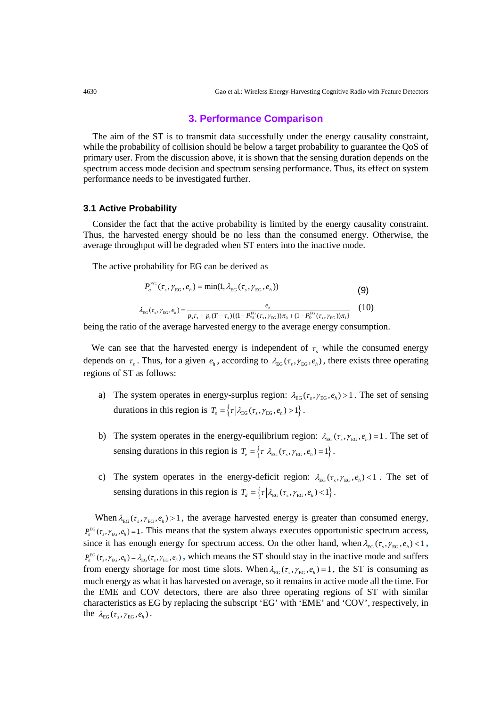#### **3. Performance Comparison**

The aim of the ST is to transmit data successfully under the energy causality constraint, while the probability of collision should be below a target probability to guarantee the QoS of primary user. From the discussion above, it is shown that the sensing duration depends on the spectrum access mode decision and spectrum sensing performance. Thus, its effect on system performance needs to be investigated further.

#### **3.1 Active Probability**

Consider the fact that the active probability is limited by the energy causality constraint. Thus, the harvested energy should be no less than the consumed energy. Otherwise, the average throughput will be degraded when ST enters into the inactive mode.

The active probability for EG can be derived as

$$
P_a^{\text{EG}}(\tau_s, \gamma_{\text{EG}}, e_h) = \min(1, \lambda_{\text{EG}}(\tau_s, \gamma_{\text{EG}}, e_h))
$$
(9)  

$$
\lambda_{\text{EG}}(\tau_s, \gamma_{\text{EG}}, e_h) = \frac{e_h}{p_s \tau_s + p_t (T - \tau_s) \{ (1 - P_{FA}^{\text{EG}}(\tau_s, \gamma_{\text{EG}})) \pi_0 + (1 - P_D^{\text{EG}}(\tau_s, \gamma_{\text{EG}})) \pi_1 \}}
$$
(10)

being the ratio of the average harvested energy to the average energy consumption.

We can see that the harvested energy is independent of  $\tau<sub>s</sub>$  while the consumed energy depends on  $\tau_s$ . Thus, for a given  $e_h$ , according to  $\lambda_{\rm EG}(\tau_s, \gamma_{\rm EG}, e_h)$ , there exists three operating regions of ST as follows:

- a) The system operates in energy-surplus region:  $\lambda_{EG}(\tau_s, \gamma_{EG}, e_h) > 1$ . The set of sensing durations in this region is  $T_s = \{\tau | \lambda_{\text{EG}}(\tau_s, \gamma_{\text{EG}}, e_h) > 1 \}.$
- b) The system operates in the energy-equilibrium region:  $\lambda_{EG}(\tau_s, \gamma_{EG}, e_h) = 1$ . The set of sensing durations in this region is  $T_e = \{ \tau | \lambda_{\text{EG}}(\tau_s, \gamma_{\text{EG}}, e_h) = 1 \}.$
- c) The system operates in the energy-deficit region:  $\lambda_{EG}(\tau_s, \gamma_{EG}, e_h) < 1$ . The set of sensing durations in this region is  $T_d = \{ \tau | \lambda_{\text{EG}}(\tau_s, \gamma_{\text{EG}}, e_h) < 1 \}.$

When  $\lambda_{EG}(\tau_s, \gamma_{EG}, e_h) > 1$ , the average harvested energy is greater than consumed energy,  $P_a^{\text{EG}}(\tau_s, \gamma_{\text{EG}}, e_h) = 1$ . This means that the system always executes opportunistic spectrum access, since it has enough energy for spectrum access. On the other hand, when  $\lambda_{EG}(\tau_s, \gamma_{EG}, e_h) < 1$ ,  $P_a^{\text{EG}}(\tau_s, \gamma_{\text{EG}}, e_h) = \lambda_{\text{EG}}(\tau_s, \gamma_{\text{EG}}, e_h)$ , which means the ST should stay in the inactive mode and suffers from energy shortage for most time slots. When  $\lambda_{EG}(\tau_s, \gamma_{EG}, e_h) = 1$ , the ST is consuming as much energy as what it has harvested on average, so it remains in active mode all the time. For the EME and COV detectors, there are also three operating regions of ST with similar characteristics as EG by replacing the subscript 'EG' with 'EME' and 'COV', respectively, in the  $\lambda_{\text{EG}}(\tau_s, \gamma_{\text{EG}}, e_h)$ .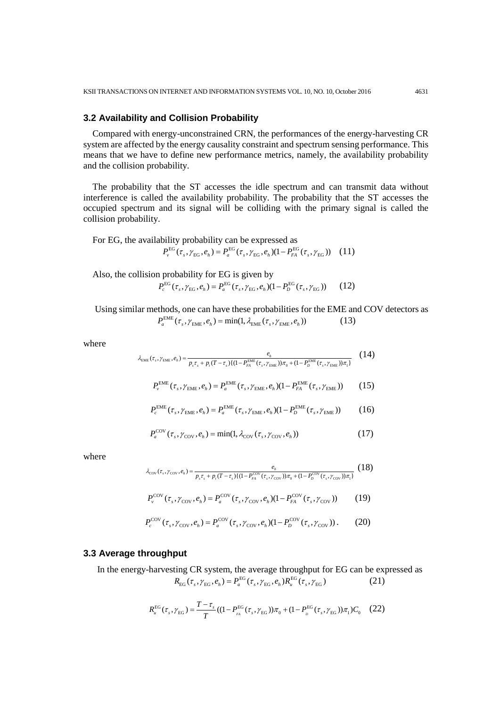## **3.2 Availability and Collision Probability**

Compared with energy-unconstrained CRN, the performances of the energy-harvesting CR system are affected by the energy causality constraint and spectrum sensing performance. This means that we have to define new performance metrics, namely, the availability probability and the collision probability.

The probability that the ST accesses the idle spectrum and can transmit data without interference is called the availability probability. The probability that the ST accesses the occupied spectrum and its signal will be colliding with the primary signal is called the collision probability.

For EG, the availability probability can be expressed as  $P_{v}^{\text{EG}}(\tau_s, \gamma_{\text{EG}}, e_h) = P_{a}^{\text{EG}}(\tau_s, \gamma_{\text{EG}}, e_h) (1 - P_{FA}^{\text{EG}}(\tau_s, \gamma_{\text{EG}}))$  (11)

Also, the collision probability for EG is given by

 $P_c^{EG}(\tau_{\rm c}, \gamma_{\rm FG}, e_{\rm b}) = P_a^{EG}(\tau_{\rm c}, \gamma_{\rm FG}, e_{\rm b}) (1 - P_D^{EG}(\tau_{\rm c}, \gamma_{\rm FG}))$  (12)

 Using similar methods, one can have these probabilities for the EME and COV detectors as  $P_a^{\text{EME}}(\tau_s, \gamma_{\text{EME}}, e_h) = \min(1, \lambda_{\text{EME}}(\tau_s, \gamma_{\text{EME}}, e_h))$  (13)

where

$$
\lambda_{\text{EME}}(\tau_s, \gamma_{\text{EME}}, e_h) = \frac{e_h}{p_s \tau_s + p_t (T - \tau_s) \{ (1 - P_{FA}^{\text{EME}}(\tau_s, \gamma_{\text{EME}})) \pi_0 + (1 - P_D^{\text{EME}}(\tau_s, \gamma_{\text{EME}})) \pi_1 \}}
$$
(14)

$$
P_{\nu}^{\text{EME}}(\tau_s, \gamma_{\text{EME}}, e_h) = P_a^{\text{EME}}(\tau_s, \gamma_{\text{EME}}, e_h) (1 - P_{FA}^{\text{EME}}(\tau_s, \gamma_{\text{EME}})) \tag{15}
$$

$$
P_c^{\text{EME}}(\tau_s, \gamma_{\text{EME}}, e_h) = P_a^{\text{EME}}(\tau_s, \gamma_{\text{EME}}, e_h)(1 - P_D^{\text{EME}}(\tau_s, \gamma_{\text{EME}})) \tag{16}
$$

$$
P_a^{\text{COV}}(\tau_s, \gamma_{\text{COV}}, e_h) = \min(1, \lambda_{\text{COV}}(\tau_s, \gamma_{\text{COV}}, e_h))
$$
\n(17)

where

$$
\lambda_{\text{cov}}(\tau_s, \gamma_{\text{cov}}, e_h) = \frac{e_h}{p_s \tau_s + p_t (T - \tau_s) \{ (1 - P_{FA}^{\text{cov}}(\tau_s, \gamma_{\text{cov}})) \pi_0 + (1 - P_D^{\text{cov}}(\tau_s, \gamma_{\text{cov}})) \pi_1 \}} \tag{18}
$$
\n
$$
P_{\nu}^{\text{COV}}(\tau_s, \gamma_{\text{COV}}, e_h) = P_a^{\text{COV}}(\tau_s, \gamma_{\text{COV}}, e_h) (1 - P_{FA}^{\text{COV}}(\tau_s, \gamma_{\text{COV}})) \tag{19}
$$

$$
P_c^{\text{cov}}(\tau_s, \gamma_{\text{cov}}, e_h) = P_a^{\text{cov}}(\tau_s, \gamma_{\text{cov}}, e_h)(1 - P_D^{\text{cov}}(\tau_s, \gamma_{\text{cov}})).
$$
 (20)

#### **3.3 Average throughput**

In the energy-harvesting CR system, the average throughput for EG can be expressed as  $R_{\text{EG}}(\tau_s, \gamma_{\text{EG}}, e_h) = P_a^{\text{EG}}(\tau_s, \gamma_{\text{EG}}, e_h) R_a^{\text{EG}}(\tau_s, \gamma_{\text{EG}})$  (21)

$$
R_{u}^{\text{EG}}(\tau_{s}, \gamma_{\text{EG}}) = \frac{T - \tau_{s}}{T}((1 - P_{_{FA}}^{\text{EG}}(\tau_{s}, \gamma_{\text{EG}}))\pi_{0} + (1 - P_{_{D}}^{\text{EG}}(\tau_{s}, \gamma_{\text{EG}}))\pi_{1})C_{0} \quad (22)
$$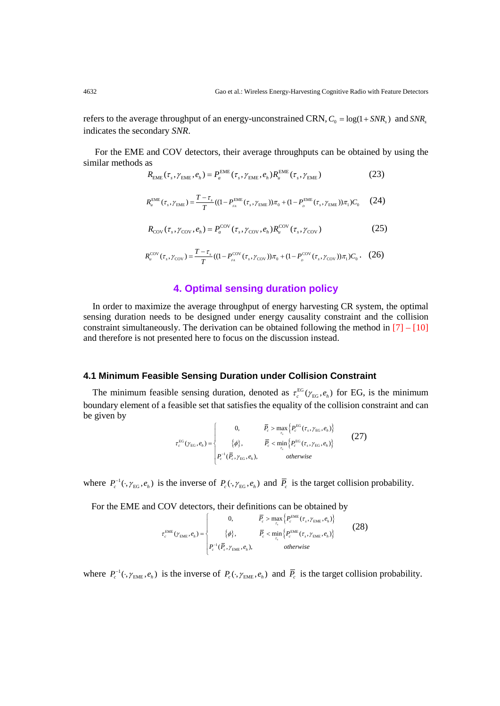refers to the average throughput of an energy-unconstrained CRN,  $C_0 = \log(1 + SNR_s)$  and  $SNR_s$ indicates the secondary *SNR*.

For the EME and COV detectors, their average throughputs can be obtained by using the similar methods as

$$
R_{\text{EME}}(\tau_s, \gamma_{\text{EME}}, e_h) = P_a^{\text{EME}}(\tau_s, \gamma_{\text{EME}}, e_h) R_u^{\text{EME}}(\tau_s, \gamma_{\text{EME}})
$$
(23)

$$
R_{u}^{\text{EME}}(\tau_{s}, \gamma_{\text{EME}}) = \frac{T - \tau_{s}}{T}((1 - P_{\text{PA}}^{\text{EME}}(\tau_{s}, \gamma_{\text{EME}}))\pi_{0} + (1 - P_{b}^{\text{EME}}(\tau_{s}, \gamma_{\text{EME}}))\pi_{1})C_{0}
$$
(24)

$$
R_{\rm cov}(\tau_s, \gamma_{\rm cov}, e_h) = P_a^{\rm cov}(\tau_s, \gamma_{\rm cov}, e_h) R_u^{\rm cov}(\tau_s, \gamma_{\rm cov})
$$
 (25)

$$
R_{u}^{\text{cov}}(\tau_{s}, \gamma_{\text{cov}}) = \frac{T - \tau_{s}}{T}((1 - P_{\text{PA}}^{\text{cov}}(\tau_{s}, \gamma_{\text{cov}}))\pi_{0} + (1 - P_{\text{D}}^{\text{cov}}(\tau_{s}, \gamma_{\text{cov}}))\pi_{1})C_{0}. (26)
$$

## **4. Optimal sensing duration policy**

In order to maximize the average throughput of energy harvesting CR system, the optimal sensing duration needs to be designed under energy causality constraint and the collision constraint simultaneously. The derivation can be obtained following the method in  $[7] - [10]$ and therefore is not presented here to focus on the discussion instead.

## **4.1 Minimum Feasible Sensing Duration under Collision Constraint**

The minimum feasible sensing duration, denoted as  $\tau_c^{EG}(\gamma_{EG}, e_h)$  for EG, is the minimum boundary element of a feasible set that satisfies the equality of the collision constraint and can be given by

$$
\tau_c^{\text{EG}}(\gamma_{\text{EG}}, e_h) = \begin{cases}\n0, & \overline{P}_c > \max_{\tau_s} \left\{ P_c^{\text{EG}}(\tau_s, \gamma_{\text{EG}}, e_h) \right\} \\
\{\phi\}, & \overline{P}_c < \min_{\tau_s} \left\{ P_c^{\text{EG}}(\tau_s, \gamma_{\text{EG}}, e_h) \right\} \\
P_c^{-1}(\overline{P}_c, \gamma_{\text{EG}}, e_h), & otherwise\n\end{cases}
$$
\n(27)

where  $P_c^{-1}(\cdot, \gamma_{\text{EG}}, e_h)$  is the inverse of  $P_c(\cdot, \gamma_{\text{EG}}, e_h)$  and  $\overline{P}_c$  is the target collision probability.

For the EME and COV detectors, their definitions can be obtained by

$$
\tau_c^{\text{EME}}(\gamma_{\text{EME}}, e_h) = \begin{cases}\n0, & \overline{P}_c > \max_{\tau_s} \left\{ P_c^{\text{EME}}(\tau_s, \gamma_{\text{EME}}, e_h) \right\} \\
\{\phi\}, & \overline{P}_c < \min_{\tau_s} \left\{ P_c^{\text{EME}}(\tau_s, \gamma_{\text{EME}}, e_h) \right\} \\
P_c^{-1}(\overline{P}_c, \gamma_{\text{EME}}, e_h), & otherwise\n\end{cases}
$$
\n(28)

where  $P_c^{-1}(\cdot, \gamma_{\text{EME}}, e_h)$  is the inverse of  $P_c(\cdot, \gamma_{\text{EME}}, e_h)$  and  $\overline{P}_c$  is the target collision probability.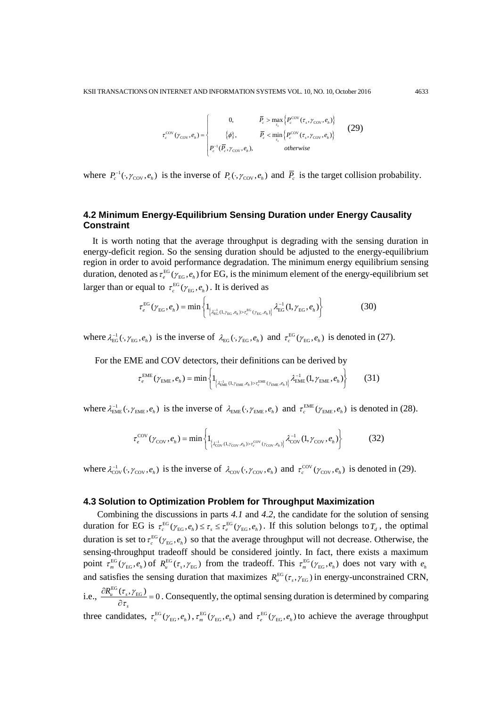$$
\tau_c^{\text{cov}}(\gamma_{\text{cov}}, e_h) = \begin{cases}\n0, & \overline{P}_c > \max_{\tau_s} \left\{ P_c^{\text{cov}}(\tau_s, \gamma_{\text{cov}}, e_h) \right\} \\
\{\phi\}, & \overline{P}_c < \min_{\tau_s} \left\{ P_c^{\text{cov}}(\tau_s, \gamma_{\text{cov}}, e_h) \right\} \\
P_c^{-1}(\overline{P}_c, \gamma_{\text{cov}}, e_h), & otherwise\n\end{cases}
$$
\n(29)

where  $P_c^{-1}(\cdot, \gamma_{\text{cov}}, e_h)$  is the inverse of  $P_c(\cdot, \gamma_{\text{cov}}, e_h)$  and  $\overline{P}_c$  is the target collision probability.

# **4.2 Minimum Energy-Equilibrium Sensing Duration under Energy Causality Constraint**

It is worth noting that the average throughput is degrading with the sensing duration in energy-deficit region. So the sensing duration should be adjusted to the energy-equilibrium region in order to avoid performance degradation. The minimum energy equilibrium sensing duration, denoted as  $\tau_e^{EG}(\gamma_{EG}, e_h)$  for EG, is the minimum element of the energy-equilibrium set larger than or equal to  $\tau_c^{\text{EG}}(\gamma_{\text{EG}}, e_h)$ . It is derived as

$$
\tau_e^{\text{EG}}(\gamma_{\text{EG}}, e_h) = \min \left\{ 1_{\left\{ \lambda_{\text{EG}}^{-1} (1, \gamma_{\text{EG}}, e_h) > \tau_e^{\text{EG}}(\gamma_{\text{EG}}, e_h) \right\}} \lambda_{\text{EG}}^{-1} (1, \gamma_{\text{EG}}, e_h) \right\}
$$
(30)

where  $\lambda_{\text{EG}}^{-1}(\cdot, \gamma_{\text{EG}}, e_h)$  is the inverse of  $\lambda_{\text{EG}}(\cdot, \gamma_{\text{EG}}, e_h)$  and  $\tau_c^{\text{EG}}(\gamma_{\text{EG}}, e_h)$  is denoted in (27).

For the EME and COV detectors, their definitions can be derived by

$$
\tau_e^{\text{EME}}(\gamma_{\text{EME}}, e_h) = \min \left\{ \mathbb{1}_{\left\{ \lambda_{\text{EME}}^{-1}(1, \gamma_{\text{EME}}, e_h) > \tau_e^{\text{EME}}(\gamma_{\text{EME}}, e_h) \right\}} \lambda_{\text{EME}}^{-1}(1, \gamma_{\text{EME}}, e_h) \right\}
$$
(31)

where  $\lambda_{\text{EME}}^{-1}(\cdot, \gamma_{\text{EME}}, e_h)$  is the inverse of  $\lambda_{\text{EME}}(\cdot, \gamma_{\text{EME}}, e_h)$  and  $\tau_c^{\text{EME}}(\gamma_{\text{EME}}, e_h)$  is denoted in (28).

$$
\tau_e^{\text{cov}}(\gamma_{\text{cov}}, e_h) = \min \left\{ 1_{\left\{ \lambda_{\text{cov}}^{-1} (1, \gamma_{\text{cov}}, e_h) > \tau_e^{\text{cov}}(\gamma_{\text{cov}}, e_h) \right\}} \lambda_{\text{cov}}^{-1} (1, \gamma_{\text{cov}}, e_h) \right\}
$$
(32)

where  $\lambda_{\text{cov}}^{-1}(\cdot, \gamma_{\text{cov}}, e_h)$  is the inverse of  $\lambda_{\text{cov}}(\cdot, \gamma_{\text{cov}}, e_h)$  and  $\tau_c^{\text{cov}}(\gamma_{\text{cov}}, e_h)$  is denoted in (29).

#### **4.3 Solution to Optimization Problem for Throughput Maximization**

Combining the discussions in parts *4.1* and *4.2*, the candidate for the solution of sensing duration for EG is  $\tau_c^{EG}(\gamma_{EG}, e_h) \leq \tau_s \leq \tau_e^{EG}(\gamma_{EG}, e_h)$ . If this solution belongs to  $T_d$ , the optimal duration is set to  $\tau_c^{EG}(\gamma_{EG}, e_h)$  so that the average throughput will not decrease. Otherwise, the sensing-throughput tradeoff should be considered jointly. In fact, there exists a maximum point  $\tau_m^{\text{EG}}(\gamma_{\text{EG}}, e_h)$  of  $R_u^{\text{EG}}(\tau_s, \gamma_{\text{EG}})$  from the tradeoff. This  $\tau_m^{\text{EG}}(\gamma_{\text{EG}}, e_h)$  does not vary with  $e_h$ and satisfies the sensing duration that maximizes  $R_{u}^{EG}(\tau_s, \gamma_{EG})$  in energy-unconstrained CRN, i.e.,  $\frac{\partial R_u^{\text{EG}}(\tau_s, \gamma_{\text{EG}})}{2} = 0$ *s*  $R_{\mu }^{\rm EG}(\tau_{_S},\gamma$  $\frac{\partial R_u^{\text{EG}}(\tau_s, \gamma_{\text{EG}})}{\partial \tau_s} = 0$ . Consequently, the optimal sensing duration is determined by comparing three candidates,  $\tau_c^{EG}(\gamma_{EG}, e_h)$ ,  $\tau_m^{EG}(\gamma_{EG}, e_h)$  and  $\tau_e^{EG}(\gamma_{EG}, e_h)$  to achieve the average throughput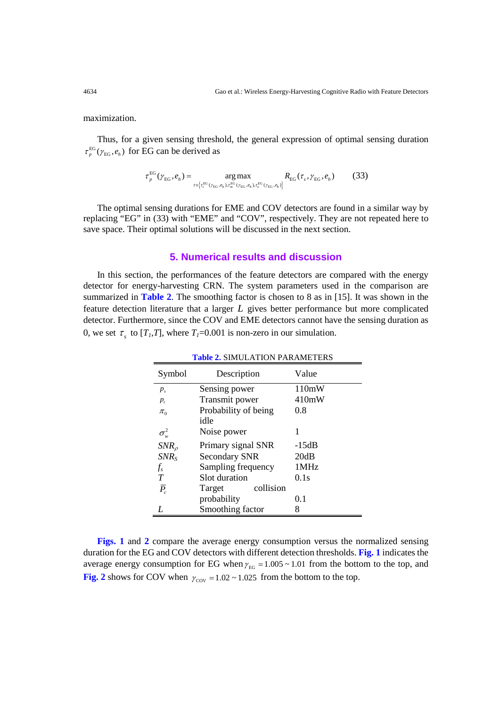maximization.

Thus, for a given sensing threshold, the general expression of optimal sensing duration  $\tau_p^{\text{EG}}(\gamma_{\text{EG}},e_h)$  for EG can be derived as

$$
\tau_p^{\text{EG}}(\gamma_{\text{EG}}, e_h) = \underset{\tau \in \left\{ \tau_c^{\text{EG}}(\gamma_{\text{EG}}, e_h), \tau_m^{\text{EG}}(\gamma_{\text{EG}}, e_h), \tau_c^{\text{EG}}(\gamma_{\text{EG}}, e_h) \right\}}{\arg \max} R_{\text{EG}}(\tau_s, \gamma_{\text{EG}}, e_h)
$$
(33)

The optimal sensing durations for EME and COV detectors are found in a similar way by replacing "EG" in (33) with "EME" and "COV", respectively. They are not repeated here to save space. Their optimal solutions will be discussed in the next section.

### **5. Numerical results and discussion**

In this section, the performances of the feature detectors are compared with the energy detector for energy-harvesting CRN. The system parameters used in the comparison are summarized in **Table 2**. The smoothing factor is chosen to 8 as in [15]. It was shown in the feature detection literature that a larger *L* gives better performance but more complicated detector. Furthermore, since the COV and EME detectors cannot have the sensing duration as 0, we set  $\tau_s$  to  $[T_I,T]$ , where  $T_I=0.001$  is non-zero in our simulation.

| Symbol             | Description          | Value |
|--------------------|----------------------|-------|
| $p_{\rm s}$        | Sensing power        | 110mW |
| $p_{i}$            | Transmit power       | 410mW |
| $\pi_{0}$          | Probability of being | 0.8   |
|                    | idle                 |       |
| $\sigma_w^2$       | Noise power          | 1     |
| $SNR_{\rho}$       | Primary signal SNR   | -15dB |
| $SNR_S$            | <b>Secondary SNR</b> | 20dB  |
| $f_s$              | Sampling frequency   | 1MHz  |
| T                  | Slot duration        | 0.1s  |
| $\overline{P}_{c}$ | collision<br>Target  |       |
|                    | probability          | 0.1   |
|                    | Smoothing factor     | 8     |

**Table 2.** SIMULATION PARAMETERS

**Figs. 1** and **2** compare the average energy consumption versus the normalized sensing duration for the EG and COV detectors with different detection thresholds. **Fig. 1** indicates the average energy consumption for EG when  $\gamma_{EG} = 1.005 \sim 1.01$  from the bottom to the top, and **Fig. 2** shows for COV when  $\gamma_{\text{cov}} = 1.02 \times 1.025$  from the bottom to the top.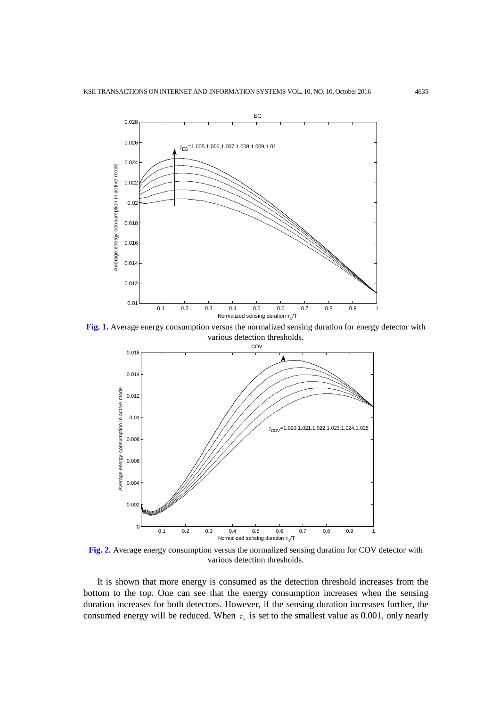

**Fig. 1.** Average energy consumption versus the normalized sensing duration for energy detector with various detection thresholds.



**Fig. 2.** Average energy consumption versus the normalized sensing duration for COV detector with various detection thresholds.

It is shown that more energy is consumed as the detection threshold increases from the bottom to the top. One can see that the energy consumption increases when the sensing duration increases for both detectors. However, if the sensing duration increases further, the consumed energy will be reduced. When  $\tau_s$  is set to the smallest value as 0.001, only nearly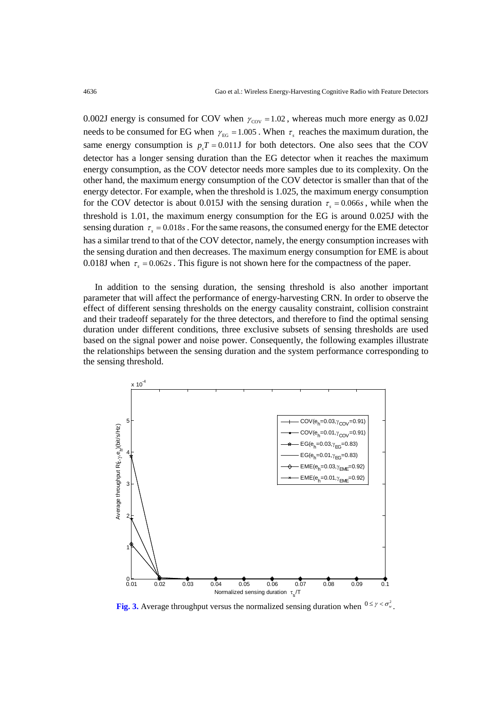0.002J energy is consumed for COV when  $\gamma_{\text{cov}} = 1.02$ , whereas much more energy as 0.02J needs to be consumed for EG when  $\gamma_{EG} = 1.005$ . When  $\tau_s$  reaches the maximum duration, the same energy consumption is  $p_xT = 0.011$  *S* for both detectors. One also sees that the COV detector has a longer sensing duration than the EG detector when it reaches the maximum energy consumption, as the COV detector needs more samples due to its complexity. On the other hand, the maximum energy consumption of the COV detector is smaller than that of the energy detector. For example, when the threshold is 1.025, the maximum energy consumption for the COV detector is about 0.015J with the sensing duration  $\tau_s = 0.066s$ , while when the threshold is 1.01, the maximum energy consumption for the EG is around 0.025J with the sensing duration  $\tau_s = 0.018s$ . For the same reasons, the consumed energy for the EME detector has a similar trend to that of the COV detector, namely, the energy consumption increases with the sensing duration and then decreases. The maximum energy consumption for EME is about 0.018J when  $\tau_s = 0.062s$ . This figure is not shown here for the compactness of the paper.

 In addition to the sensing duration, the sensing threshold is also another important parameter that will affect the performance of energy-harvesting CRN. In order to observe the effect of different sensing thresholds on the energy causality constraint, collision constraint and their tradeoff separately for the three detectors, and therefore to find the optimal sensing duration under different conditions, three exclusive subsets of sensing thresholds are used based on the signal power and noise power. Consequently, the following examples illustrate the relationships between the sensing duration and the system performance corresponding to the sensing threshold.



**Fig. 3.** Average throughput versus the normalized sensing duration when  $0 \le \gamma < \sigma_w^2$ .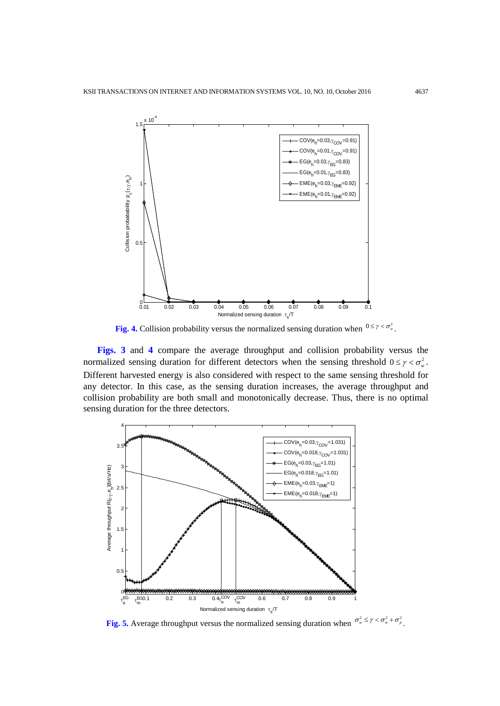

**Fig. 4.** Collision probability versus the normalized sensing duration when  $0 \le \gamma < \sigma_w^2$ .

**Figs. 3** and **4** compare the average throughput and collision probability versus the normalized sensing duration for different detectors when the sensing threshold  $0 \le \gamma < \sigma_w^2$ . Different harvested energy is also considered with respect to the same sensing threshold for any detector. In this case, as the sensing duration increases, the average throughput and collision probability are both small and monotonically decrease. Thus, there is no optimal sensing duration for the three detectors.



**Fig. 5.** Average throughput versus the normalized sensing duration when  $\sigma_w^2 \le \gamma < \sigma_w^2 + \sigma_p^2$ .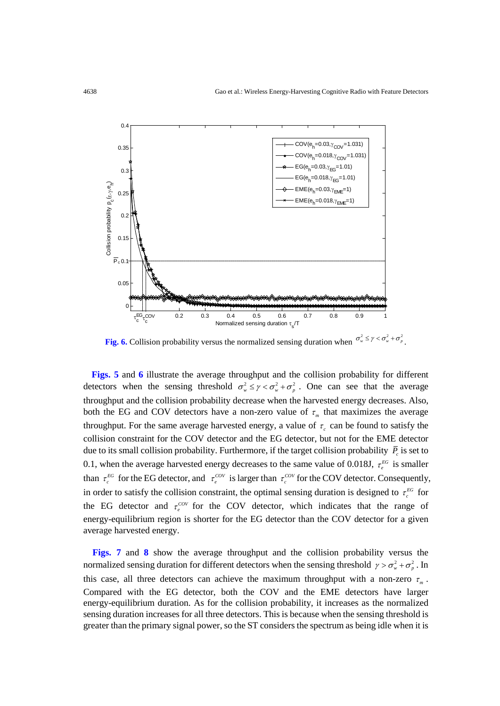

**Fig. 6.** Collision probability versus the normalized sensing duration when  $\sigma_w^2 \le \gamma < \sigma_w^2 + \sigma_p^2$ .

**Figs. 5** and **6** illustrate the average throughput and the collision probability for different detectors when the sensing threshold  $\sigma_w^2 \le \gamma < \sigma_w^2 + \sigma_w^2$ . One can see that the average throughput and the collision probability decrease when the harvested energy decreases. Also, both the EG and COV detectors have a non-zero value of  $\tau_m$  that maximizes the average throughput. For the same average harvested energy, a value of  $\tau_c$  can be found to satisfy the collision constraint for the COV detector and the EG detector, but not for the EME detector due to its small collision probability. Furthermore, if the target collision probability  $\overline{P}_c$  is set to 0.1, when the average harvested energy decreases to the same value of 0.018J,  $\tau_e^{EG}$  is smaller than  $\tau_c^{EG}$  for the EG detector, and  $\tau_c^{COV}$  is larger than  $\tau_c^{COV}$  for the COV detector. Consequently, in order to satisfy the collision constraint, the optimal sensing duration is designed to  $\tau_c^{EG}$  for the EG detector and  $\tau_e^{cov}$  for the COV detector, which indicates that the range of energy-equilibrium region is shorter for the EG detector than the COV detector for a given average harvested energy.

**Figs. 7** and **8** show the average throughput and the collision probability versus the normalized sensing duration for different detectors when the sensing threshold  $\gamma > \sigma_w^2 + \sigma_p^2$ . In this case, all three detectors can achieve the maximum throughput with a non-zero  $\tau_m$ . Compared with the EG detector, both the COV and the EME detectors have larger energy-equilibrium duration. As for the collision probability, it increases as the normalized sensing duration increases for all three detectors. This is because when the sensing threshold is greater than the primary signal power, so the ST considers the spectrum as being idle when it is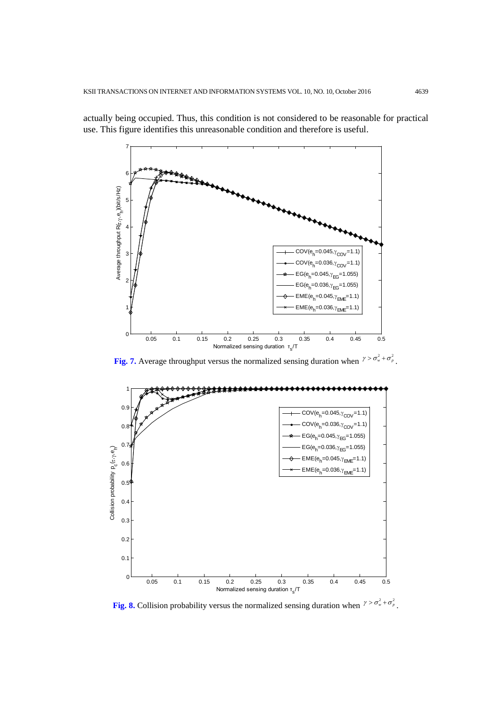

actually being occupied. Thus, this condition is not considered to be reasonable for practical use. This figure identifies this unreasonable condition and therefore is useful.

**Fig. 7.** Average throughput versus the normalized sensing duration when  $\gamma > \sigma_w^2 + \sigma_p^2$ .



**Fig. 8.** Collision probability versus the normalized sensing duration when  $\gamma > \sigma_w^2 + \sigma_p^2$ .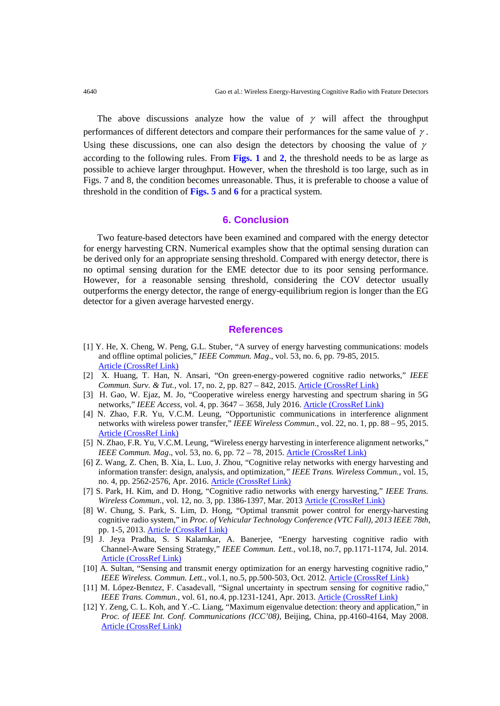The above discussions analyze how the value of  $\gamma$  will affect the throughput performances of different detectors and compare their performances for the same value of  $\gamma$ . Using these discussions, one can also design the detectors by choosing the value of  $\gamma$ according to the following rules. From **Figs. 1** and **2**, the threshold needs to be as large as possible to achieve larger throughput. However, when the threshold is too large, such as in Figs. 7 and 8, the condition becomes unreasonable. Thus, it is preferable to choose a value of threshold in the condition of **Figs. 5** and **6** for a practical system.

# **6. Conclusion**

Two feature-based detectors have been examined and compared with the energy detector for energy harvesting CRN. Numerical examples show that the optimal sensing duration can be derived only for an appropriate sensing threshold. Compared with energy detector, there is no optimal sensing duration for the EME detector due to its poor sensing performance. However, for a reasonable sensing threshold, considering the COV detector usually outperforms the energy detector, the range of energy-equilibrium region is longer than the EG detector for a given average harvested energy.

## **References**

- [1] Y. He, X. Cheng, W. Peng, G.L. Stuber, "A survey of energy harvesting communications: models and offline optimal policies," *IEEE Commun. Mag*., vol. 53, no. 6, pp. 79-85, 2015. [Article \(CrossRef Link\)](http://dx.doi.org/doi:10.1109/MCOM.2015.7120021)
- [2] X. Huang, T. Han, N. Ansari, "On green-energy-powered cognitive radio networks," *IEEE Commun. Surv. & Tut.,* vol. 17, no. 2, pp. 827 – 842, 2015. [Article \(CrossRef Link\)](http://dx.doi.org/DOI:%2010.1109/COMST.2014.2387697)
- [3] H. Gao, W. Ejaz, M. Jo, "Cooperative wireless energy harvesting and spectrum sharing in 5G networks," *IEEE Access*, vol. 4, pp. 3647 – 3658, July 2016. [Article \(CrossRef Link\)](http://dx.doi.org/DOI:%2010.1109/ACCESS.2016.2579598)
- [4] N. Zhao, F.R. Yu, V.C.M. Leung, "Opportunistic communications in interference alignment networks with wireless power transfer," *IEEE Wireless Commun*., vol. 22, no. 1, pp. 88 – 95, 2015. [Article \(CrossRef Link\)](http://dx.doi.org/DOI:%2010.1109/MWC.2015.7054723)
- [5] N. Zhao, F.R. Yu, V.C.M. Leung, "Wireless energy harvesting in interference alignment networks," *IEEE Commun. Mag.*, vol. 53, no. 6, pp. 72 – 78, 2015. [Article \(CrossRef Link\)](http://dx.doi.org/DOI:%2010.1109/MCOM.2015.7120020)
- [6] Z. Wang, Z. Chen, B. Xia, L. Luo, J. Zhou, "Cognitive relay networks with energy harvesting and information transfer: design, analysis, and optimization*," IEEE Trans. Wireless Commun.,* vol. 15, no. 4, pp. 2562-2576, Apr. 2016. [Article \(CrossRef Link\)](http://dx.doi.org/DOI:%2010.1109/TWC.2015.2504581)
- [7] S. Park, H. Kim, and D. Hong, "Cognitive radio networks with energy harvesting," *IEEE Trans. Wireless Commun.*, vol. 12, no. 3, pp. 1386-1397, Mar. 2013 [Article \(CrossRef Link\)](http://dx.doi.org/DOI:%2010.1109/TWC.2013.012413.121009)
- [8] W. Chung, S. Park, S. Lim, D. Hong, "Optimal transmit power control for energy-harvesting cognitive radio system," in *Proc. of [Vehicular Technology Conference \(VTC Fall\), 2013 IEEE 78th](http://ieeexplore.ieee.org/xpl/mostRecentIssue.jsp?punumber=6690585)*, pp. 1-5, 2013. [Article \(CrossRef Link\)](http://dx.doi.org/%20DOI:%2010.1109/VTCFall.2013.6692333)
- [9] J. [Jeya Pradha,](http://ieeexplore.ieee.org/search/searchresult.jsp?searchWithin=%22Authors%22:.QT.Jeya%20Pradha%2C%20J..QT.&newsearch=true) S. S [Kalamkar,](http://ieeexplore.ieee.org/search/searchresult.jsp?searchWithin=%22Authors%22:.QT.Kalamkar%2C%20S.S..QT.&newsearch=true) A. [Banerjee, "](http://ieeexplore.ieee.org/search/searchresult.jsp?searchWithin=%22Authors%22:.QT.Banerjee%2C%20A..QT.&newsearch=true)Energy harvesting cognitive radio with Channel-Aware Sensing Strategy," *IEEE Commun. Lett.*, vol.18, no.7, pp.1171-1174, Jul. 2014. [Article \(CrossRef Link\)](http://dx.doi.org/DOI:%2010.1109/LCOMM.2014.2323240)
- [10] A. Sultan, "Sensing and transmit energy optimization for an energy harvesting cognitive radio," *IEEE Wireless. Commun. Lett.*, vol.1, no.5, pp.500-503, Oct. 2012[. Article \(CrossRef Link\)](http://dx.doi.org/DOI:%2010.1109/WCL.2012.071612.120304)
- [11] M. López-Benıtez, F. Casadevall, "Signal uncertainty in spectrum sensing for cognitive radio," *IEEE Trans. Commun.*, vol. 61, no.4, pp.1231-1241, Apr. 2013. <u>Article (CrossRef Link)</u>
- [12] Y. Zeng, C. L. Koh, and Y.-C. Liang, "Maximum eigenvalue detection: theory and application," in *Proc. of IEEE Int. Conf. Communications (ICC'08)*, Beijing, China, pp.4160-4164, May 2008. [Article \(CrossRef Link\)](http://dx.doi.org/DOI:%2010.1109/icc.2008.781)